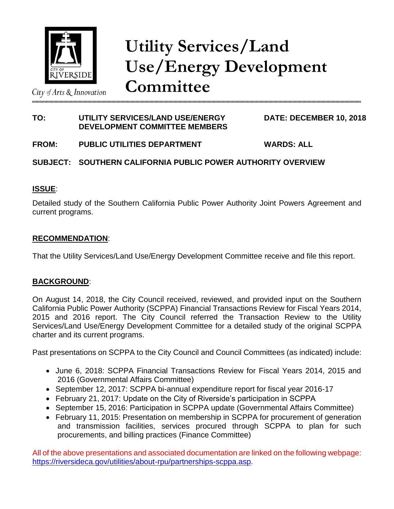

City of Arts  $\&$  Innovation

**Utility Services/Land Use/Energy Development Committee**

# **TO: UTILITY SERVICES/LAND USE/ENERGY DATE: DECEMBER 10, 2018 DEVELOPMENT COMMITTEE MEMBERS**

**FROM: PUBLIC UTILITIES DEPARTMENT WARDS: ALL**

# **SUBJECT: SOUTHERN CALIFORNIA PUBLIC POWER AUTHORITY OVERVIEW**

### **ISSUE**:

Detailed study of the Southern California Public Power Authority Joint Powers Agreement and current programs.

### **RECOMMENDATION**:

That the Utility Services/Land Use/Energy Development Committee receive and file this report.

### **BACKGROUND**:

On August 14, 2018, the City Council received, reviewed, and provided input on the Southern California Public Power Authority (SCPPA) Financial Transactions Review for Fiscal Years 2014, 2015 and 2016 report. The City Council referred the Transaction Review to the Utility Services/Land Use/Energy Development Committee for a detailed study of the original SCPPA charter and its current programs.

Past presentations on SCPPA to the City Council and Council Committees (as indicated) include:

- June 6, 2018: SCPPA Financial Transactions Review for Fiscal Years 2014, 2015 and 2016 (Governmental Affairs Committee)
- September 12, 2017: SCPPA bi-annual expenditure report for fiscal year 2016-17
- February 21, 2017: Update on the City of Riverside's participation in SCPPA
- September 15, 2016: Participation in SCPPA update (Governmental Affairs Committee)
- February 11, 2015: Presentation on membership in SCPPA for procurement of generation and transmission facilities, services procured through SCPPA to plan for such procurements, and billing practices (Finance Committee)

All of the above presentations and associated documentation are linked on the following webpage: [https://riversideca.gov/utilities/about-rpu/partnerships-scppa.asp.](https://riversideca.gov/utilities/about-rpu/partnerships-scppa.asp)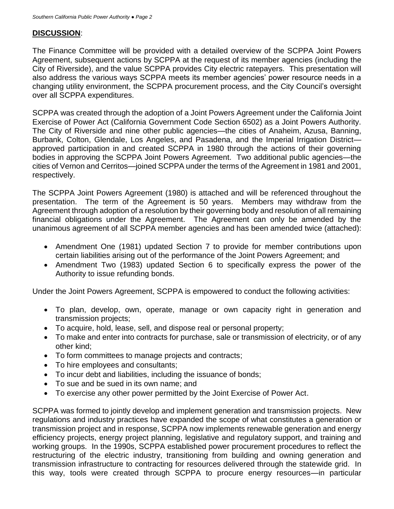### **DISCUSSION**:

The Finance Committee will be provided with a detailed overview of the SCPPA Joint Powers Agreement, subsequent actions by SCPPA at the request of its member agencies (including the City of Riverside), and the value SCPPA provides City electric ratepayers. This presentation will also address the various ways SCPPA meets its member agencies' power resource needs in a changing utility environment, the SCPPA procurement process, and the City Council's oversight over all SCPPA expenditures.

SCPPA was created through the adoption of a Joint Powers Agreement under the California Joint Exercise of Power Act (California Government Code Section 6502) as a Joint Powers Authority. The City of Riverside and nine other public agencies—the cities of Anaheim, Azusa, Banning, Burbank, Colton, Glendale, Los Angeles, and Pasadena, and the Imperial Irrigation Districtapproved participation in and created SCPPA in 1980 through the actions of their governing bodies in approving the SCPPA Joint Powers Agreement. Two additional public agencies—the cities of Vernon and Cerritos—joined SCPPA under the terms of the Agreement in 1981 and 2001, respectively.

The SCPPA Joint Powers Agreement (1980) is attached and will be referenced throughout the presentation. The term of the Agreement is 50 years. Members may withdraw from the Agreement through adoption of a resolution by their governing body and resolution of all remaining financial obligations under the Agreement. The Agreement can only be amended by the unanimous agreement of all SCPPA member agencies and has been amended twice (attached):

- Amendment One (1981) updated Section 7 to provide for member contributions upon certain liabilities arising out of the performance of the Joint Powers Agreement; and
- Amendment Two (1983) updated Section 6 to specifically express the power of the Authority to issue refunding bonds.

Under the Joint Powers Agreement, SCPPA is empowered to conduct the following activities:

- To plan, develop, own, operate, manage or own capacity right in generation and transmission projects;
- To acquire, hold, lease, sell, and dispose real or personal property;
- To make and enter into contracts for purchase, sale or transmission of electricity, or of any other kind;
- To form committees to manage projects and contracts;
- To hire employees and consultants;
- To incur debt and liabilities, including the issuance of bonds;
- To sue and be sued in its own name; and
- To exercise any other power permitted by the Joint Exercise of Power Act.

SCPPA was formed to jointly develop and implement generation and transmission projects. New regulations and industry practices have expanded the scope of what constitutes a generation or transmission project and in response, SCPPA now implements renewable generation and energy efficiency projects, energy project planning, legislative and regulatory support, and training and working groups. In the 1990s, SCPPA established power procurement procedures to reflect the restructuring of the electric industry, transitioning from building and owning generation and transmission infrastructure to contracting for resources delivered through the statewide grid. In this way, tools were created through SCPPA to procure energy resources—in particular